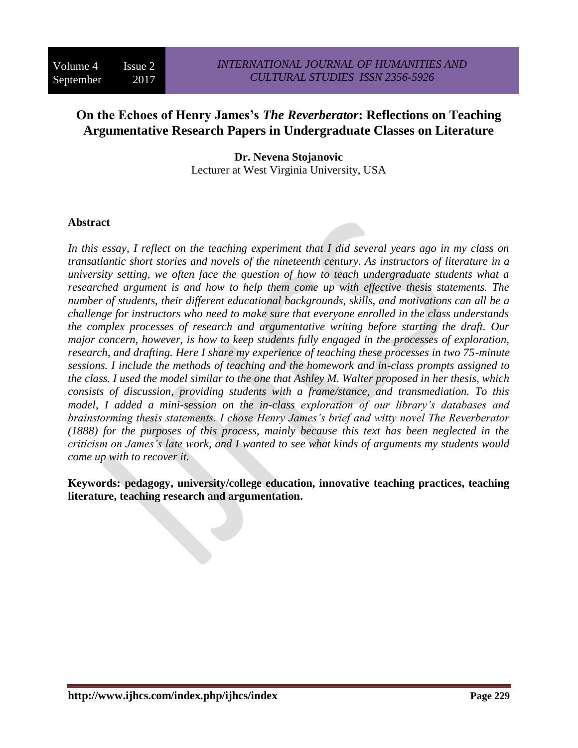# **On the Echoes of Henry James's** *The Reverberator***: Reflections on Teaching Argumentative Research Papers in Undergraduate Classes on Literature**

**Dr. Nevena Stojanovic** Lecturer at West Virginia University, USA

#### **Abstract**

*In this essay, I reflect on the teaching experiment that I did several years ago in my class on transatlantic short stories and novels of the nineteenth century. As instructors of literature in a university setting, we often face the question of how to teach undergraduate students what a researched argument is and how to help them come up with effective thesis statements. The number of students, their different educational backgrounds, skills, and motivations can all be a challenge for instructors who need to make sure that everyone enrolled in the class understands the complex processes of research and argumentative writing before starting the draft. Our major concern, however, is how to keep students fully engaged in the processes of exploration, research, and drafting. Here I share my experience of teaching these processes in two 75-minute sessions. I include the methods of teaching and the homework and in-class prompts assigned to the class. I used the model similar to the one that Ashley M. Walter proposed in her thesis, which consists of discussion, providing students with a frame/stance, and transmediation. To this model, I added a mini-session on the in-class exploration of our library's databases and brainstorming thesis statements. I chose Henry James's brief and witty novel The Reverberator (1888) for the purposes of this process, mainly because this text has been neglected in the criticism on James's late work, and I wanted to see what kinds of arguments my students would come up with to recover it.* 

**Keywords: pedagogy, university/college education, innovative teaching practices, teaching literature, teaching research and argumentation.**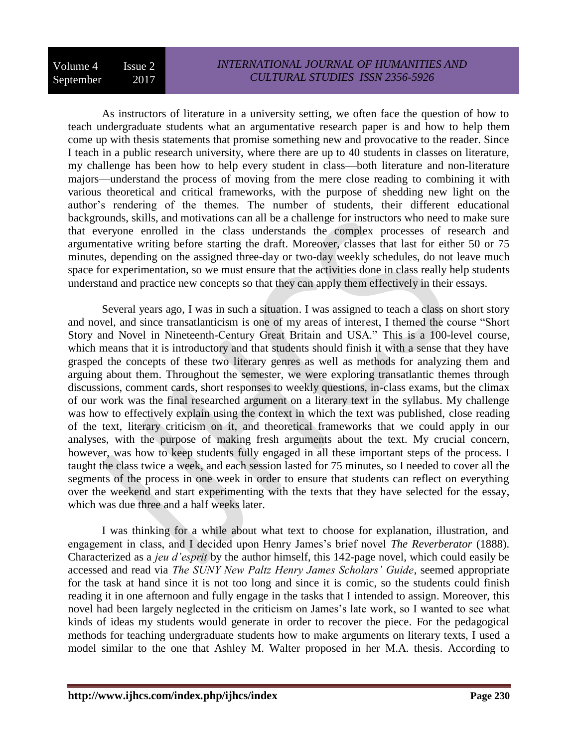As instructors of literature in a university setting, we often face the question of how to teach undergraduate students what an argumentative research paper is and how to help them come up with thesis statements that promise something new and provocative to the reader. Since I teach in a public research university, where there are up to 40 students in classes on literature, my challenge has been how to help every student in class—both literature and non-literature majors—understand the process of moving from the mere close reading to combining it with various theoretical and critical frameworks, with the purpose of shedding new light on the author's rendering of the themes. The number of students, their different educational backgrounds, skills, and motivations can all be a challenge for instructors who need to make sure that everyone enrolled in the class understands the complex processes of research and argumentative writing before starting the draft. Moreover, classes that last for either 50 or 75 minutes, depending on the assigned three-day or two-day weekly schedules, do not leave much space for experimentation, so we must ensure that the activities done in class really help students understand and practice new concepts so that they can apply them effectively in their essays.

Several years ago, I was in such a situation. I was assigned to teach a class on short story and novel, and since transatlanticism is one of my areas of interest, I themed the course "Short Story and Novel in Nineteenth-Century Great Britain and USA." This is a 100-level course, which means that it is introductory and that students should finish it with a sense that they have grasped the concepts of these two literary genres as well as methods for analyzing them and arguing about them. Throughout the semester, we were exploring transatlantic themes through discussions, comment cards, short responses to weekly questions, in-class exams, but the climax of our work was the final researched argument on a literary text in the syllabus. My challenge was how to effectively explain using the context in which the text was published, close reading of the text, literary criticism on it, and theoretical frameworks that we could apply in our analyses, with the purpose of making fresh arguments about the text. My crucial concern, however, was how to keep students fully engaged in all these important steps of the process. I taught the class twice a week, and each session lasted for 75 minutes, so I needed to cover all the segments of the process in one week in order to ensure that students can reflect on everything over the weekend and start experimenting with the texts that they have selected for the essay, which was due three and a half weeks later.

I was thinking for a while about what text to choose for explanation, illustration, and engagement in class, and I decided upon Henry James's brief novel *The Reverberator* (1888). Characterized as a *jeu d'esprit* by the author himself, this 142-page novel, which could easily be accessed and read via *The SUNY New Paltz Henry James Scholars' Guide*, seemed appropriate for the task at hand since it is not too long and since it is comic, so the students could finish reading it in one afternoon and fully engage in the tasks that I intended to assign. Moreover, this novel had been largely neglected in the criticism on James's late work, so I wanted to see what kinds of ideas my students would generate in order to recover the piece. For the pedagogical methods for teaching undergraduate students how to make arguments on literary texts, I used a model similar to the one that Ashley M. Walter proposed in her M.A. thesis. According to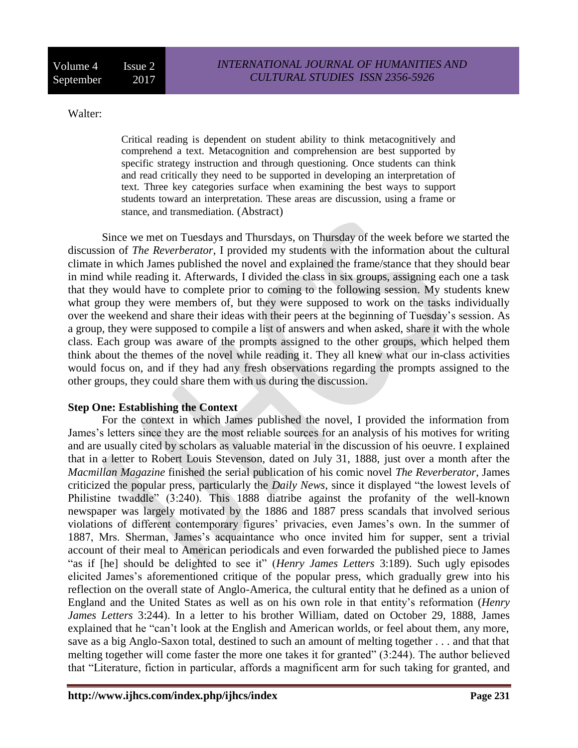## Walter:

Critical reading is dependent on student ability to think metacognitively and comprehend a text. Metacognition and comprehension are best supported by specific strategy instruction and through questioning. Once students can think and read critically they need to be supported in developing an interpretation of text. Three key categories surface when examining the best ways to support students toward an interpretation. These areas are discussion, using a frame or stance, and transmediation. (Abstract)

Since we met on Tuesdays and Thursdays, on Thursday of the week before we started the discussion of *The Reverberator*, I provided my students with the information about the cultural climate in which James published the novel and explained the frame/stance that they should bear in mind while reading it. Afterwards, I divided the class in six groups, assigning each one a task that they would have to complete prior to coming to the following session. My students knew what group they were members of, but they were supposed to work on the tasks individually over the weekend and share their ideas with their peers at the beginning of Tuesday's session. As a group, they were supposed to compile a list of answers and when asked, share it with the whole class. Each group was aware of the prompts assigned to the other groups, which helped them think about the themes of the novel while reading it. They all knew what our in-class activities would focus on, and if they had any fresh observations regarding the prompts assigned to the other groups, they could share them with us during the discussion.

# **Step One: Establishing the Context**

For the context in which James published the novel, I provided the information from James's letters since they are the most reliable sources for an analysis of his motives for writing and are usually cited by scholars as valuable material in the discussion of his oeuvre. I explained that in a letter to Robert Louis Stevenson, dated on July 31, 1888, just over a month after the *Macmillan Magazine* finished the serial publication of his comic novel *The Reverberator*, James criticized the popular press, particularly the *Daily News*, since it displayed "the lowest levels of Philistine twaddle" (3:240). This 1888 diatribe against the profanity of the well-known newspaper was largely motivated by the 1886 and 1887 press scandals that involved serious violations of different contemporary figures' privacies, even James's own. In the summer of 1887, Mrs. Sherman, James's acquaintance who once invited him for supper, sent a trivial account of their meal to American periodicals and even forwarded the published piece to James "as if [he] should be delighted to see it" (*Henry James Letters* 3:189). Such ugly episodes elicited James's aforementioned critique of the popular press, which gradually grew into his reflection on the overall state of Anglo-America, the cultural entity that he defined as a union of England and the United States as well as on his own role in that entity's reformation (*Henry James Letters* 3:244). In a letter to his brother William, dated on October 29, 1888, James explained that he "can't look at the English and American worlds, or feel about them, any more, save as a big Anglo-Saxon total, destined to such an amount of melting together . . . and that that melting together will come faster the more one takes it for granted" (3:244). The author believed that "Literature, fiction in particular, affords a magnificent arm for such taking for granted, and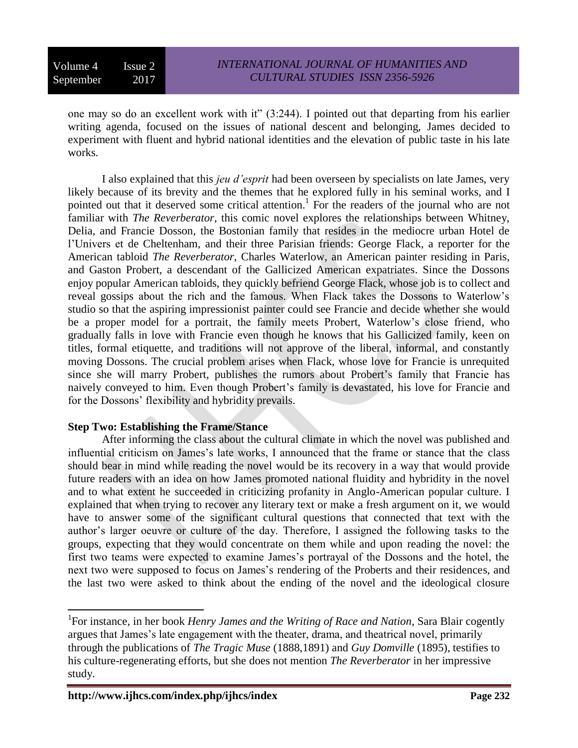one may so do an excellent work with it" (3:244). I pointed out that departing from his earlier writing agenda, focused on the issues of national descent and belonging, James decided to experiment with fluent and hybrid national identities and the elevation of public taste in his late works.

I also explained that this *jeu d'esprit* had been overseen by specialists on late James, very likely because of its brevity and the themes that he explored fully in his seminal works, and I pointed out that it deserved some critical attention.<sup>1</sup> For the readers of the journal who are not familiar with *The Reverberator*, this comic novel explores the relationships between Whitney, Delia, and Francie Dosson, the Bostonian family that resides in the mediocre urban Hotel de l'Univers et de Cheltenham, and their three Parisian friends: George Flack, a reporter for the American tabloid *The Reverberator*, Charles Waterlow, an American painter residing in Paris, and Gaston Probert, a descendant of the Gallicized American expatriates. Since the Dossons enjoy popular American tabloids, they quickly befriend George Flack, whose job is to collect and reveal gossips about the rich and the famous. When Flack takes the Dossons to Waterlow's studio so that the aspiring impressionist painter could see Francie and decide whether she would be a proper model for a portrait, the family meets Probert, Waterlow's close friend, who gradually falls in love with Francie even though he knows that his Gallicized family, keen on titles, formal etiquette, and traditions will not approve of the liberal, informal, and constantly moving Dossons. The crucial problem arises when Flack, whose love for Francie is unrequited since she will marry Probert, publishes the rumors about Probert's family that Francie has naively conveyed to him. Even though Probert's family is devastated, his love for Francie and for the Dossons' flexibility and hybridity prevails.

# **Step Two: Establishing the Frame/Stance**

After informing the class about the cultural climate in which the novel was published and influential criticism on James's late works, I announced that the frame or stance that the class should bear in mind while reading the novel would be its recovery in a way that would provide future readers with an idea on how James promoted national fluidity and hybridity in the novel and to what extent he succeeded in criticizing profanity in Anglo-American popular culture. I explained that when trying to recover any literary text or make a fresh argument on it, we would have to answer some of the significant cultural questions that connected that text with the author's larger oeuvre or culture of the day. Therefore, I assigned the following tasks to the groups, expecting that they would concentrate on them while and upon reading the novel: the first two teams were expected to examine James's portrayal of the Dossons and the hotel, the next two were supposed to focus on James's rendering of the Proberts and their residences, and the last two were asked to think about the ending of the novel and the ideological closure

 $\overline{a}$ 

<sup>&</sup>lt;sup>1</sup>For instance, in her book *Henry James and the Writing of Race and Nation*, Sara Blair cogently argues that James's late engagement with the theater, drama, and theatrical novel, primarily through the publications of *The Tragic Muse* (1888,1891) and *Guy Domville* (1895), testifies to his culture-regenerating efforts, but she does not mention *The Reverberator* in her impressive study.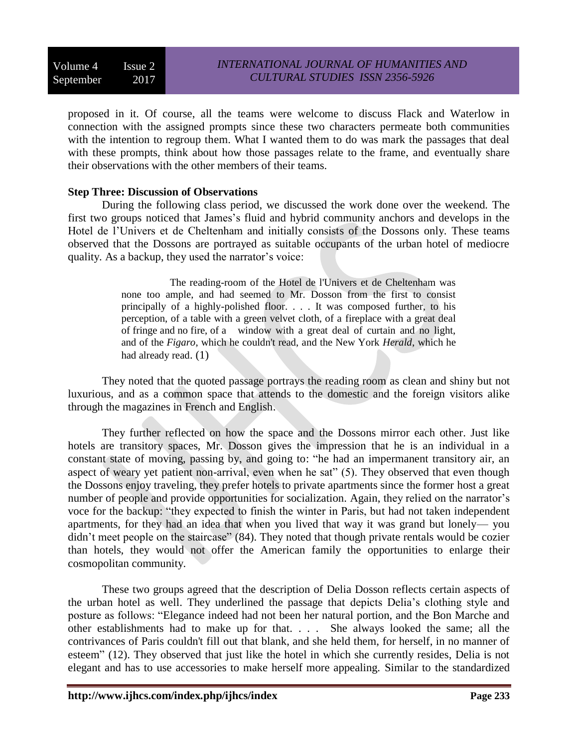proposed in it. Of course, all the teams were welcome to discuss Flack and Waterlow in connection with the assigned prompts since these two characters permeate both communities with the intention to regroup them. What I wanted them to do was mark the passages that deal with these prompts, think about how those passages relate to the frame, and eventually share their observations with the other members of their teams.

## **Step Three: Discussion of Observations**

During the following class period, we discussed the work done over the weekend. The first two groups noticed that James's fluid and hybrid community anchors and develops in the Hotel de l'Univers et de Cheltenham and initially consists of the Dossons only. These teams observed that the Dossons are portrayed as suitable occupants of the urban hotel of mediocre quality. As a backup, they used the narrator's voice:

> The reading-room of the Hotel de l'Univers et de Cheltenham was none too ample, and had seemed to Mr. Dosson from the first to consist principally of a highly-polished floor. . . . It was composed further, to his perception, of a table with a green velvet cloth, of a fireplace with a great deal of fringe and no fire, of a window with a great deal of curtain and no light, and of the *Figaro*, which he couldn't read, and the New York *Herald*, which he had already read. (1)

They noted that the quoted passage portrays the reading room as clean and shiny but not luxurious, and as a common space that attends to the domestic and the foreign visitors alike through the magazines in French and English.

They further reflected on how the space and the Dossons mirror each other. Just like hotels are transitory spaces, Mr. Dosson gives the impression that he is an individual in a constant state of moving, passing by, and going to: "he had an impermanent transitory air, an aspect of weary yet patient non-arrival, even when he sat" (5). They observed that even though the Dossons enjoy traveling, they prefer hotels to private apartments since the former host a great number of people and provide opportunities for socialization. Again, they relied on the narrator's voce for the backup: "they expected to finish the winter in Paris, but had not taken independent apartments, for they had an idea that when you lived that way it was grand but lonely— you didn't meet people on the staircase" (84). They noted that though private rentals would be cozier than hotels, they would not offer the American family the opportunities to enlarge their cosmopolitan community.

These two groups agreed that the description of Delia Dosson reflects certain aspects of the urban hotel as well. They underlined the passage that depicts Delia's clothing style and posture as follows: "Elegance indeed had not been her natural portion, and the Bon Marche and other establishments had to make up for that. . . . She always looked the same; all the contrivances of Paris couldn't fill out that blank, and she held them, for herself, in no manner of esteem" (12). They observed that just like the hotel in which she currently resides, Delia is not elegant and has to use accessories to make herself more appealing. Similar to the standardized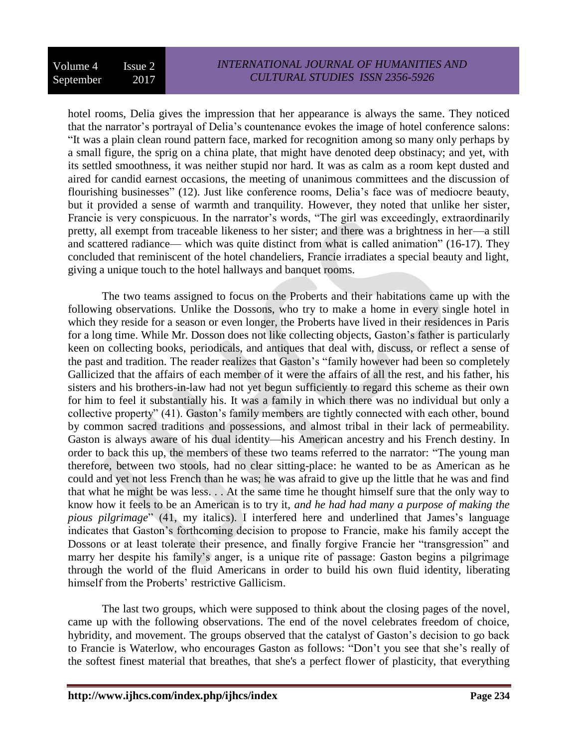hotel rooms, Delia gives the impression that her appearance is always the same. They noticed that the narrator's portrayal of Delia's countenance evokes the image of hotel conference salons: "It was a plain clean round pattern face, marked for recognition among so many only perhaps by a small figure, the sprig on a china plate, that might have denoted deep obstinacy; and yet, with its settled smoothness, it was neither stupid nor hard. It was as calm as a room kept dusted and aired for candid earnest occasions, the meeting of unanimous committees and the discussion of flourishing businesses" (12). Just like conference rooms, Delia's face was of mediocre beauty, but it provided a sense of warmth and tranquility. However, they noted that unlike her sister, Francie is very conspicuous. In the narrator's words, "The girl was exceedingly, extraordinarily pretty, all exempt from traceable likeness to her sister; and there was a brightness in her—a still and scattered radiance— which was quite distinct from what is called animation" (16-17). They concluded that reminiscent of the hotel chandeliers, Francie irradiates a special beauty and light, giving a unique touch to the hotel hallways and banquet rooms.

The two teams assigned to focus on the Proberts and their habitations came up with the following observations. Unlike the Dossons, who try to make a home in every single hotel in which they reside for a season or even longer, the Proberts have lived in their residences in Paris for a long time. While Mr. Dosson does not like collecting objects, Gaston's father is particularly keen on collecting books, periodicals, and antiques that deal with, discuss, or reflect a sense of the past and tradition. The reader realizes that Gaston's "family however had been so completely Gallicized that the affairs of each member of it were the affairs of all the rest, and his father, his sisters and his brothers-in-law had not yet begun sufficiently to regard this scheme as their own for him to feel it substantially his. It was a family in which there was no individual but only a collective property" (41). Gaston's family members are tightly connected with each other, bound by common sacred traditions and possessions, and almost tribal in their lack of permeability. Gaston is always aware of his dual identity—his American ancestry and his French destiny. In order to back this up, the members of these two teams referred to the narrator: "The young man therefore, between two stools, had no clear sitting-place: he wanted to be as American as he could and yet not less French than he was; he was afraid to give up the little that he was and find that what he might be was less. . . At the same time he thought himself sure that the only way to know how it feels to be an American is to try it, *and he had had many a purpose of making the pious pilgrimage*" (41, my italics). I interfered here and underlined that James's language indicates that Gaston's forthcoming decision to propose to Francie, make his family accept the Dossons or at least tolerate their presence, and finally forgive Francie her "transgression" and marry her despite his family's anger, is a unique rite of passage: Gaston begins a pilgrimage through the world of the fluid Americans in order to build his own fluid identity, liberating himself from the Proberts' restrictive Gallicism.

The last two groups, which were supposed to think about the closing pages of the novel, came up with the following observations. The end of the novel celebrates freedom of choice, hybridity, and movement. The groups observed that the catalyst of Gaston's decision to go back to Francie is Waterlow, who encourages Gaston as follows: "Don't you see that she's really of the softest finest material that breathes, that she's a perfect flower of plasticity, that everything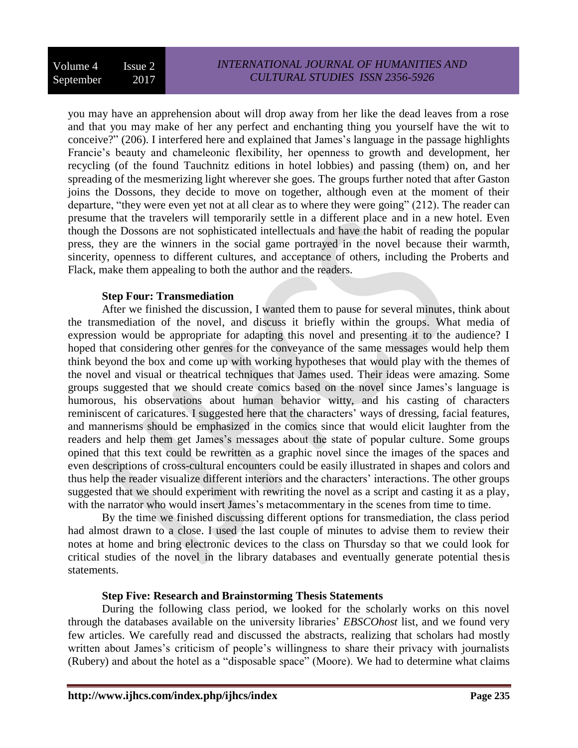you may have an apprehension about will drop away from her like the dead leaves from a rose and that you may make of her any perfect and enchanting thing you yourself have the wit to conceive?" (206). I interfered here and explained that James's language in the passage highlights Francie's beauty and chameleonic flexibility, her openness to growth and development, her recycling (of the found Tauchnitz editions in hotel lobbies) and passing (them) on, and her spreading of the mesmerizing light wherever she goes. The groups further noted that after Gaston joins the Dossons, they decide to move on together, although even at the moment of their departure, "they were even yet not at all clear as to where they were going" (212). The reader can presume that the travelers will temporarily settle in a different place and in a new hotel. Even though the Dossons are not sophisticated intellectuals and have the habit of reading the popular press, they are the winners in the social game portrayed in the novel because their warmth, sincerity, openness to different cultures, and acceptance of others, including the Proberts and Flack, make them appealing to both the author and the readers.

## **Step Four: Transmediation**

After we finished the discussion, I wanted them to pause for several minutes, think about the transmediation of the novel, and discuss it briefly within the groups. What media of expression would be appropriate for adapting this novel and presenting it to the audience? I hoped that considering other genres for the conveyance of the same messages would help them think beyond the box and come up with working hypotheses that would play with the themes of the novel and visual or theatrical techniques that James used. Their ideas were amazing. Some groups suggested that we should create comics based on the novel since James's language is humorous, his observations about human behavior witty, and his casting of characters reminiscent of caricatures. I suggested here that the characters' ways of dressing, facial features, and mannerisms should be emphasized in the comics since that would elicit laughter from the readers and help them get James's messages about the state of popular culture. Some groups opined that this text could be rewritten as a graphic novel since the images of the spaces and even descriptions of cross-cultural encounters could be easily illustrated in shapes and colors and thus help the reader visualize different interiors and the characters' interactions. The other groups suggested that we should experiment with rewriting the novel as a script and casting it as a play, with the narrator who would insert James's metacommentary in the scenes from time to time.

By the time we finished discussing different options for transmediation, the class period had almost drawn to a close. I used the last couple of minutes to advise them to review their notes at home and bring electronic devices to the class on Thursday so that we could look for critical studies of the novel in the library databases and eventually generate potential thesis statements.

#### **Step Five: Research and Brainstorming Thesis Statements**

During the following class period, we looked for the scholarly works on this novel through the databases available on the university libraries' *EBSCOhost* list, and we found very few articles. We carefully read and discussed the abstracts, realizing that scholars had mostly written about James's criticism of people's willingness to share their privacy with journalists (Rubery) and about the hotel as a "disposable space" (Moore). We had to determine what claims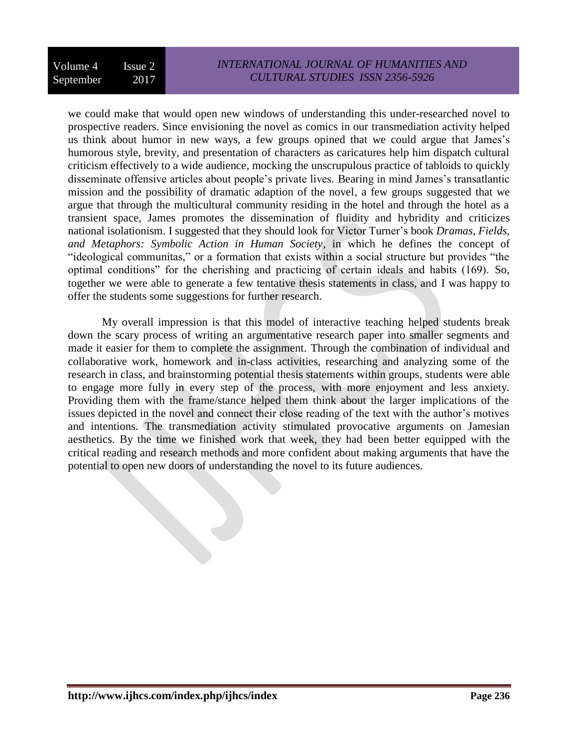we could make that would open new windows of understanding this under-researched novel to prospective readers. Since envisioning the novel as comics in our transmediation activity helped us think about humor in new ways, a few groups opined that we could argue that James's humorous style, brevity, and presentation of characters as caricatures help him dispatch cultural criticism effectively to a wide audience, mocking the unscrupulous practice of tabloids to quickly disseminate offensive articles about people's private lives. Bearing in mind James's transatlantic mission and the possibility of dramatic adaption of the novel, a few groups suggested that we argue that through the multicultural community residing in the hotel and through the hotel as a transient space, James promotes the dissemination of fluidity and hybridity and criticizes national isolationism. I suggested that they should look for Victor Turner's book *Dramas, Fields, and Metaphors: Symbolic Action in Human Society*, in which he defines the concept of "ideological communitas," or a formation that exists within a social structure but provides "the optimal conditions" for the cherishing and practicing of certain ideals and habits (169). So, together we were able to generate a few tentative thesis statements in class, and I was happy to offer the students some suggestions for further research.

My overall impression is that this model of interactive teaching helped students break down the scary process of writing an argumentative research paper into smaller segments and made it easier for them to complete the assignment. Through the combination of individual and collaborative work, homework and in-class activities, researching and analyzing some of the research in class, and brainstorming potential thesis statements within groups, students were able to engage more fully in every step of the process, with more enjoyment and less anxiety. Providing them with the frame/stance helped them think about the larger implications of the issues depicted in the novel and connect their close reading of the text with the author's motives and intentions. The transmediation activity stimulated provocative arguments on Jamesian aesthetics. By the time we finished work that week, they had been better equipped with the critical reading and research methods and more confident about making arguments that have the potential to open new doors of understanding the novel to its future audiences.